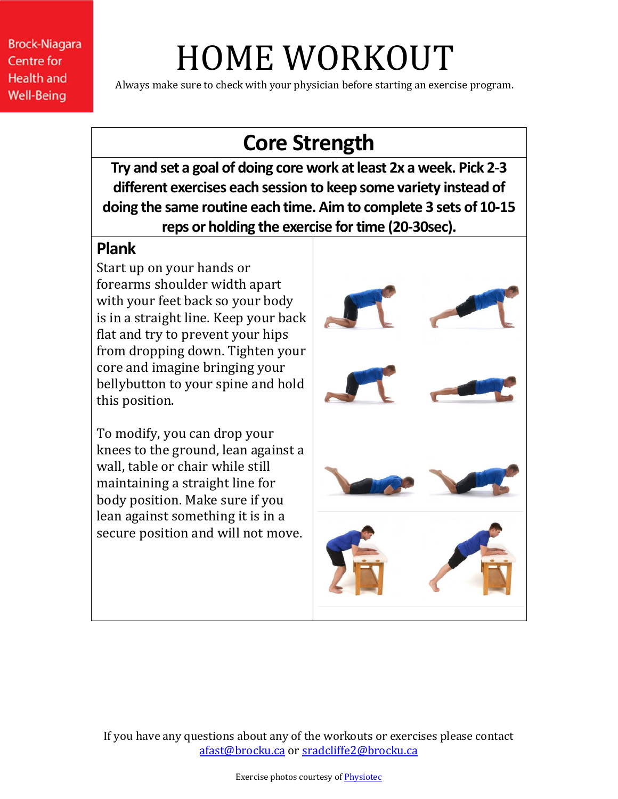# HOME WORKOUT

Always make sure to check with your physician before starting an exercise program.

### **Core Strength**

**Try and set a goal of doing core work at least 2x a week. Pick 2-3 different exercises each session to keep some variety instead of doing the same routine each time. Aim to complete 3 sets of 10-15**  reps or holding the exercise for time (20-30sec).

#### **Plank**

Start up on your hands or forearms shoulder width apart with your feet back so your body is in a straight line. Keep your back flat and try to prevent your hips from dropping down. Tighten your core and imagine bringing your bellybutton to your spine and hold this position.

To modify, you can drop your knees to the ground, lean against a wall, table or chair while still maintaining a straight line for body position. Make sure if you lean against something it is in a secure position and will not move.

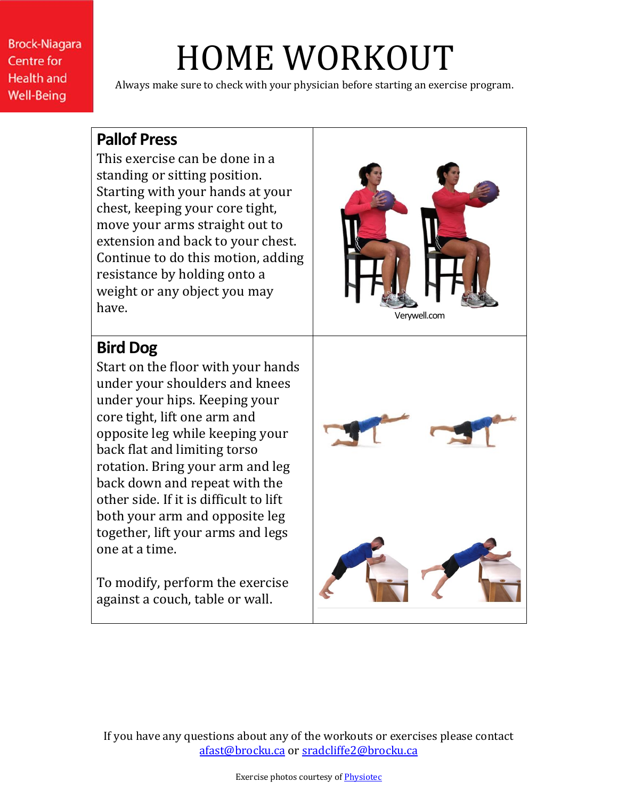### HOME WORKOUT

Always make sure to check with your physician before starting an exercise program.

#### **Pallof Press**

This exercise can be done in a standing or sitting position. Starting with your hands at your chest, keeping your core tight, move your arms straight out to extension and back to your chest. Continue to do this motion, adding resistance by holding onto a weight or any object you may have. The contract of the contract of the contract of the contract of the contract of the contract of the contract of the contract of the contract of the contract of the contract of the contract of the contract of the cont

#### **Bird Dog**

Start on the floor with your hands under your shoulders and knees under your hips. Keeping your core tight, lift one arm and opposite leg while keeping your back flat and limiting torso rotation. Bring your arm and leg back down and repeat with the other side. If it is difficult to lift both your arm and opposite leg together, lift your arms and legs one at a time.

To modify, perform the exercise against a couch, table or wall.

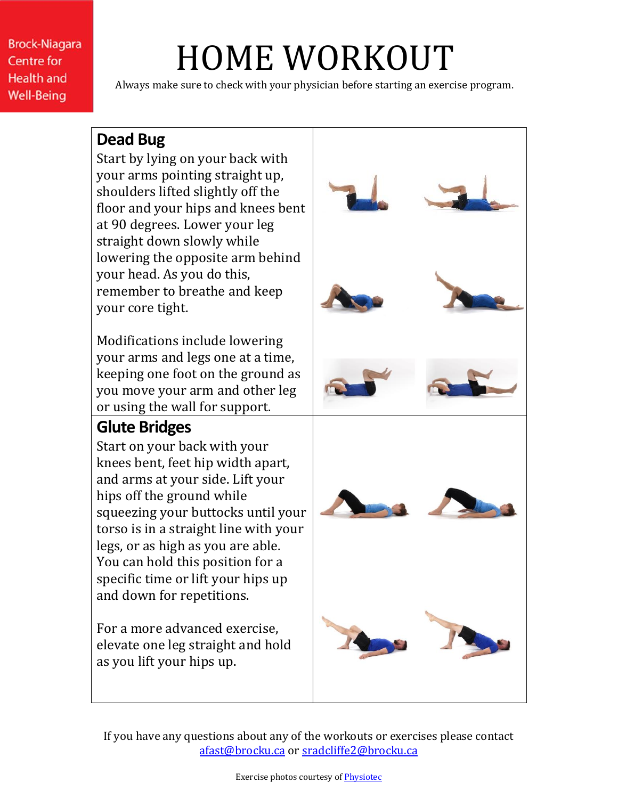### HOME WORKOUT

Always make sure to check with your physician before starting an exercise program.

#### **Dead Bug**

Start by lying on your back with your arms pointing straight up, shoulders lifted slightly off the floor and your hips and knees bent at 90 degrees. Lower your leg straight down slowly while lowering the opposite arm behind your head. As you do this, remember to breathe and keep your core tight.

Modifications include lowering your arms and legs one at a time, keeping one foot on the ground as you move your arm and other leg or using the wall for support.

#### **Glute Bridges**

Start on your back with your knees bent, feet hip width apart, and arms at your side. Lift your hips off the ground while squeezing your buttocks until your torso is in a straight line with your legs, or as high as you are able. You can hold this position for a specific time or lift your hips up and down for repetitions.

For a more advanced exercise, elevate one leg straight and hold as you lift your hips up.

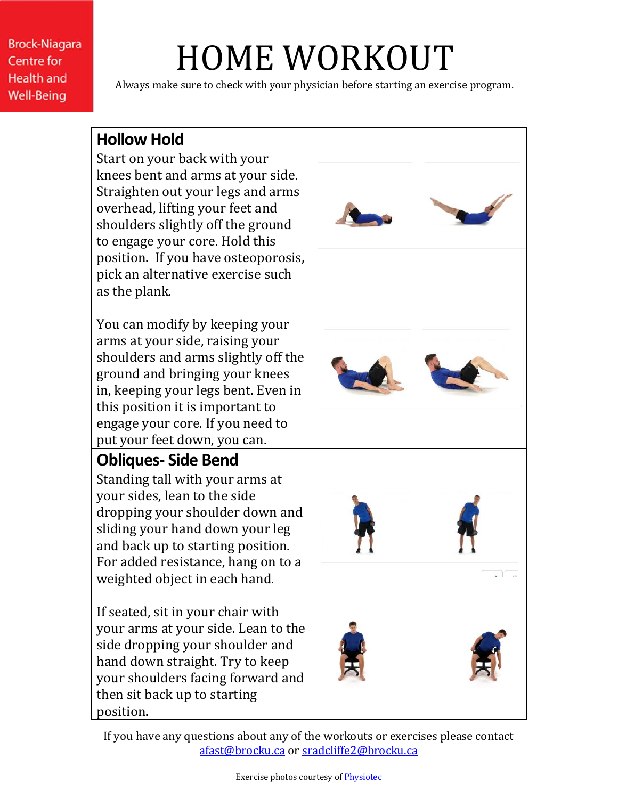## HOME WORKOUT

Always make sure to check with your physician before starting an exercise program.

#### **Hollow Hold**

Start on your back with your knees bent and arms at your side. Straighten out your legs and arms overhead, lifting your feet and shoulders slightly off the ground to engage your core. Hold this position. If you have osteoporosis, pick an alternative exercise such as the plank.

You can modify by keeping your arms at your side, raising your shoulders and arms slightly off the ground and bringing your knees in, keeping your legs bent. Even in this position it is important to engage your core. If you need to put your feet down, you can.

### **Obliques- Side Bend**

Standing tall with your arms at your sides, lean to the side dropping your shoulder down and sliding your hand down your leg and back up to starting position. For added resistance, hang on to a weighted object in each hand.

If seated, sit in your chair with your arms at your side. Lean to the side dropping your shoulder and hand down straight. Try to keep your shoulders facing forward and then sit back up to starting position.